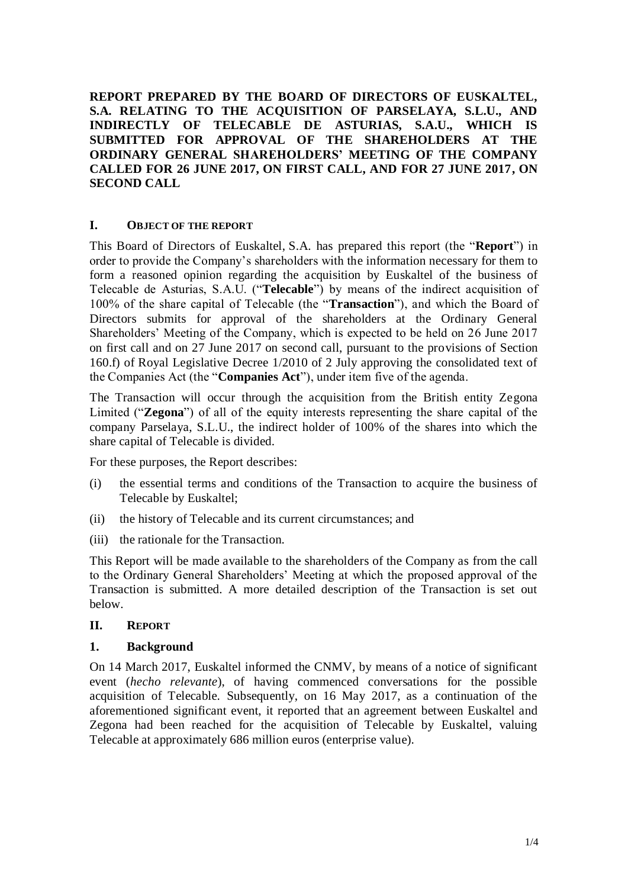**REPORT PREPARED BY THE BOARD OF DIRECTORS OF EUSKALTEL, S.A. RELATING TO THE ACQUISITION OF PARSELAYA, S.L.U., AND INDIRECTLY OF TELECABLE DE ASTURIAS, S.A.U., WHICH IS SUBMITTED FOR APPROVAL OF THE SHAREHOLDERS AT THE ORDINARY GENERAL SHAREHOLDERS' MEETING OF THE COMPANY CALLED FOR 26 JUNE 2017, ON FIRST CALL, AND FOR 27 JUNE 2017, ON SECOND CALL**

### **I. OBJECT OF THE REPORT**

This Board of Directors of Euskaltel, S.A. has prepared this report (the "**Report**") in order to provide the Company's shareholders with the information necessary for them to form a reasoned opinion regarding the acquisition by Euskaltel of the business of Telecable de Asturias, S.A.U. ("**Telecable**") by means of the indirect acquisition of 100% of the share capital of Telecable (the "**Transaction**"), and which the Board of Directors submits for approval of the shareholders at the Ordinary General Shareholders' Meeting of the Company, which is expected to be held on 26 June 2017 on first call and on 27 June 2017 on second call, pursuant to the provisions of Section 160.f) of Royal Legislative Decree 1/2010 of 2 July approving the consolidated text of the Companies Act (the "**Companies Act**"), under item five of the agenda.

The Transaction will occur through the acquisition from the British entity Zegona Limited ("**Zegona**") of all of the equity interests representing the share capital of the company Parselaya, S.L.U., the indirect holder of 100% of the shares into which the share capital of Telecable is divided.

For these purposes, the Report describes:

- (i) the essential terms and conditions of the Transaction to acquire the business of Telecable by Euskaltel;
- (ii) the history of Telecable and its current circumstances; and
- (iii) the rationale for the Transaction.

This Report will be made available to the shareholders of the Company as from the call to the Ordinary General Shareholders' Meeting at which the proposed approval of the Transaction is submitted. A more detailed description of the Transaction is set out below.

# **II. REPORT**

### **1. Background**

On 14 March 2017, Euskaltel informed the CNMV, by means of a notice of significant event (*hecho relevante*), of having commenced conversations for the possible acquisition of Telecable. Subsequently, on 16 May 2017, as a continuation of the aforementioned significant event, it reported that an agreement between Euskaltel and Zegona had been reached for the acquisition of Telecable by Euskaltel, valuing Telecable at approximately 686 million euros (enterprise value).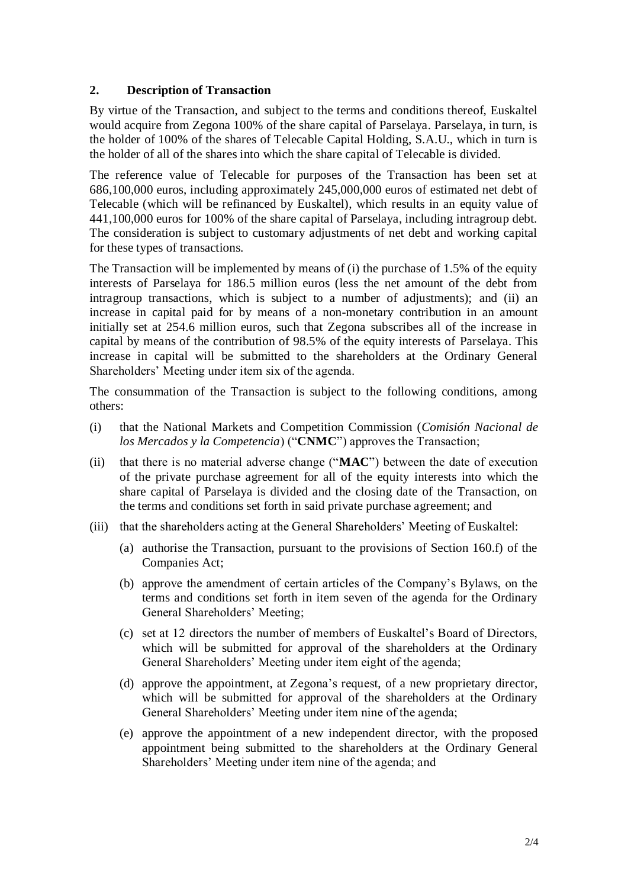# **2. Description of Transaction**

By virtue of the Transaction, and subject to the terms and conditions thereof, Euskaltel would acquire from Zegona 100% of the share capital of Parselaya. Parselaya, in turn, is the holder of 100% of the shares of Telecable Capital Holding, S.A.U., which in turn is the holder of all of the shares into which the share capital of Telecable is divided.

The reference value of Telecable for purposes of the Transaction has been set at 686,100,000 euros, including approximately 245,000,000 euros of estimated net debt of Telecable (which will be refinanced by Euskaltel), which results in an equity value of 441,100,000 euros for 100% of the share capital of Parselaya, including intragroup debt. The consideration is subject to customary adjustments of net debt and working capital for these types of transactions.

The Transaction will be implemented by means of (i) the purchase of 1.5% of the equity interests of Parselaya for 186.5 million euros (less the net amount of the debt from intragroup transactions, which is subject to a number of adjustments); and (ii) an increase in capital paid for by means of a non-monetary contribution in an amount initially set at 254.6 million euros, such that Zegona subscribes all of the increase in capital by means of the contribution of 98.5% of the equity interests of Parselaya. This increase in capital will be submitted to the shareholders at the Ordinary General Shareholders' Meeting under item six of the agenda.

The consummation of the Transaction is subject to the following conditions, among others:

- (i) that the National Markets and Competition Commission (*Comisión Nacional de los Mercados y la Competencia*) ("**CNMC**") approves the Transaction;
- (ii) that there is no material adverse change ("**MAC**") between the date of execution of the private purchase agreement for all of the equity interests into which the share capital of Parselaya is divided and the closing date of the Transaction, on the terms and conditions set forth in said private purchase agreement; and
- (iii) that the shareholders acting at the General Shareholders' Meeting of Euskaltel:
	- (a) authorise the Transaction, pursuant to the provisions of Section 160.f) of the Companies Act;
	- (b) approve the amendment of certain articles of the Company's Bylaws, on the terms and conditions set forth in item seven of the agenda for the Ordinary General Shareholders' Meeting;
	- (c) set at 12 directors the number of members of Euskaltel's Board of Directors, which will be submitted for approval of the shareholders at the Ordinary General Shareholders' Meeting under item eight of the agenda;
	- (d) approve the appointment, at Zegona's request, of a new proprietary director, which will be submitted for approval of the shareholders at the Ordinary General Shareholders' Meeting under item nine of the agenda;
	- (e) approve the appointment of a new independent director, with the proposed appointment being submitted to the shareholders at the Ordinary General Shareholders' Meeting under item nine of the agenda; and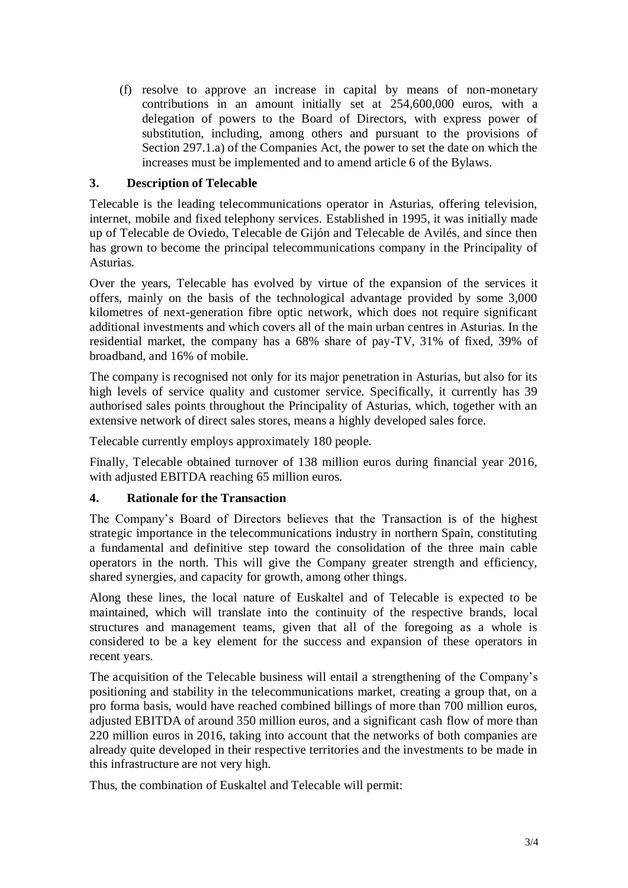(f) resolve to approve an increase in capital by means of non-monetary contributions in an amount initially set at 254,600,000 euros, with a delegation of powers to the Board of Directors, with express power of substitution, including, among others and pursuant to the provisions of Section 297.1.a) of the Companies Act, the power to set the date on which the increases must be implemented and to amend article 6 of the Bylaws.

# **3. Description of Telecable**

Telecable is the leading telecommunications operator in Asturias, offering television, internet, mobile and fixed telephony services. Established in 1995, it was initially made up of Telecable de Oviedo, Telecable de Gijón and Telecable de Avilés, and since then has grown to become the principal telecommunications company in the Principality of Asturias.

Over the years, Telecable has evolved by virtue of the expansion of the services it offers, mainly on the basis of the technological advantage provided by some 3,000 kilometres of next-generation fibre optic network, which does not require significant additional investments and which covers all of the main urban centres in Asturias. In the residential market, the company has a 68% share of pay-TV, 31% of fixed, 39% of broadband, and 16% of mobile.

The company is recognised not only for its major penetration in Asturias, but also for its high levels of service quality and customer service. Specifically, it currently has 39 authorised sales points throughout the Principality of Asturias, which, together with an extensive network of direct sales stores, means a highly developed sales force.

Telecable currently employs approximately 180 people.

Finally, Telecable obtained turnover of 138 million euros during financial year 2016, with adjusted EBITDA reaching 65 million euros.

# **4. Rationale for the Transaction**

The Company's Board of Directors believes that the Transaction is of the highest strategic importance in the telecommunications industry in northern Spain, constituting a fundamental and definitive step toward the consolidation of the three main cable operators in the north. This will give the Company greater strength and efficiency, shared synergies, and capacity for growth, among other things.

Along these lines, the local nature of Euskaltel and of Telecable is expected to be maintained, which will translate into the continuity of the respective brands, local structures and management teams, given that all of the foregoing as a whole is considered to be a key element for the success and expansion of these operators in recent years.

The acquisition of the Telecable business will entail a strengthening of the Company's positioning and stability in the telecommunications market, creating a group that, on a pro forma basis, would have reached combined billings of more than 700 million euros, adjusted EBITDA of around 350 million euros, and a significant cash flow of more than 220 million euros in 2016, taking into account that the networks of both companies are already quite developed in their respective territories and the investments to be made in this infrastructure are not very high.

Thus, the combination of Euskaltel and Telecable will permit: